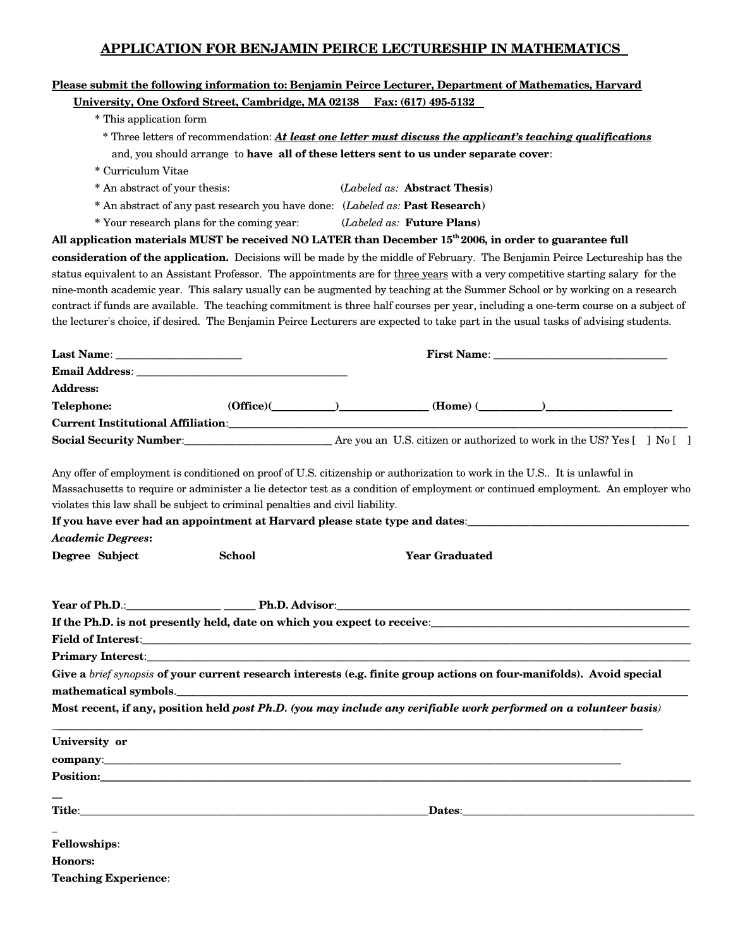## **APPLICATION FOR BENJAMIN PEIRCE LECTURESHIP IN MATHEMATICS**

|                                                                                                                                                                                                                                    |                                                                               |                                                                                                                                                                                                                                      |                                                                                       | Please submit the following information to: Benjamin Peirce Lecturer, Department of Mathematics, Harvard                                                                                                                                                                                                                                                                                                    |  |
|------------------------------------------------------------------------------------------------------------------------------------------------------------------------------------------------------------------------------------|-------------------------------------------------------------------------------|--------------------------------------------------------------------------------------------------------------------------------------------------------------------------------------------------------------------------------------|---------------------------------------------------------------------------------------|-------------------------------------------------------------------------------------------------------------------------------------------------------------------------------------------------------------------------------------------------------------------------------------------------------------------------------------------------------------------------------------------------------------|--|
|                                                                                                                                                                                                                                    | University, One Oxford Street, Cambridge, MA 02138 Fax: (617) 495-5132        |                                                                                                                                                                                                                                      |                                                                                       |                                                                                                                                                                                                                                                                                                                                                                                                             |  |
| * This application form                                                                                                                                                                                                            |                                                                               |                                                                                                                                                                                                                                      |                                                                                       |                                                                                                                                                                                                                                                                                                                                                                                                             |  |
|                                                                                                                                                                                                                                    |                                                                               |                                                                                                                                                                                                                                      |                                                                                       | * Three letters of recommendation: At least one letter must discuss the applicant's teaching qualifications                                                                                                                                                                                                                                                                                                 |  |
|                                                                                                                                                                                                                                    |                                                                               |                                                                                                                                                                                                                                      | and, you should arrange to have all of these letters sent to us under separate cover: |                                                                                                                                                                                                                                                                                                                                                                                                             |  |
| * Curriculum Vitae                                                                                                                                                                                                                 |                                                                               |                                                                                                                                                                                                                                      |                                                                                       |                                                                                                                                                                                                                                                                                                                                                                                                             |  |
| * An abstract of your thesis:                                                                                                                                                                                                      |                                                                               |                                                                                                                                                                                                                                      | ( <i>Labeled as:</i> <b>Abstract Thesis</b> )                                         |                                                                                                                                                                                                                                                                                                                                                                                                             |  |
|                                                                                                                                                                                                                                    | * An abstract of any past research you have done: (Labeled as: Past Research) |                                                                                                                                                                                                                                      |                                                                                       |                                                                                                                                                                                                                                                                                                                                                                                                             |  |
|                                                                                                                                                                                                                                    | * Your research plans for the coming year: (Labeled as: Future Plans)         |                                                                                                                                                                                                                                      |                                                                                       |                                                                                                                                                                                                                                                                                                                                                                                                             |  |
| All application materials MUST be received NO LATER than December 15 <sup>th</sup> 2006, in order to guarantee full                                                                                                                |                                                                               |                                                                                                                                                                                                                                      |                                                                                       |                                                                                                                                                                                                                                                                                                                                                                                                             |  |
|                                                                                                                                                                                                                                    |                                                                               |                                                                                                                                                                                                                                      |                                                                                       | consideration of the application. Decisions will be made by the middle of February. The Benjamin Peirce Lectureship has the                                                                                                                                                                                                                                                                                 |  |
|                                                                                                                                                                                                                                    |                                                                               |                                                                                                                                                                                                                                      |                                                                                       | status equivalent to an Assistant Professor. The appointments are for three years with a very competitive starting salary for the                                                                                                                                                                                                                                                                           |  |
|                                                                                                                                                                                                                                    |                                                                               |                                                                                                                                                                                                                                      |                                                                                       | nine-month academic year. This salary usually can be augmented by teaching at the Summer School or by working on a research                                                                                                                                                                                                                                                                                 |  |
|                                                                                                                                                                                                                                    |                                                                               |                                                                                                                                                                                                                                      |                                                                                       | contract if funds are available. The teaching commitment is three half courses per year, including a one-term course on a subject of                                                                                                                                                                                                                                                                        |  |
|                                                                                                                                                                                                                                    |                                                                               |                                                                                                                                                                                                                                      |                                                                                       | the lecturer's choice, if desired. The Benjamin Peirce Lecturers are expected to take part in the usual tasks of advising students.                                                                                                                                                                                                                                                                         |  |
|                                                                                                                                                                                                                                    |                                                                               |                                                                                                                                                                                                                                      |                                                                                       |                                                                                                                                                                                                                                                                                                                                                                                                             |  |
| First Name:<br>Last Name:                                                                                                                                                                                                          |                                                                               |                                                                                                                                                                                                                                      |                                                                                       |                                                                                                                                                                                                                                                                                                                                                                                                             |  |
|                                                                                                                                                                                                                                    |                                                                               |                                                                                                                                                                                                                                      |                                                                                       |                                                                                                                                                                                                                                                                                                                                                                                                             |  |
| <b>Address:</b>                                                                                                                                                                                                                    |                                                                               |                                                                                                                                                                                                                                      |                                                                                       |                                                                                                                                                                                                                                                                                                                                                                                                             |  |
| <b>Telephone:</b>                                                                                                                                                                                                                  |                                                                               |                                                                                                                                                                                                                                      |                                                                                       | $(Office)($ ( <i>Mome</i> ) ( <i>Mome</i> ) ( <i>Mome</i> ) ( <i>Mome</i> ) ( <i>Mome</i> ) ( <i>Mome</i> ) ( <i>Mome</i> ) ( <i>Mome</i> ) ( <i>Mome</i> ) ( <i>Mome</i> ) ( <i>Mome</i> ) ( <i>Mome</i> ) ( <i>Mome</i> ) ( <i>Mome</i> ) ( <i>Mome</i> ) ( <i>Mome</i> ) ( <i>Mome</i> ) ( <i>Mome</i> ) ( <i>Mome</i> ) ( <i>Mome</i> ) ( <i>Mome</i> ) ( <i>Mome</i> ) ( <i>Mome</i> ) ( <i>Mome</i> ) |  |
|                                                                                                                                                                                                                                    |                                                                               |                                                                                                                                                                                                                                      |                                                                                       |                                                                                                                                                                                                                                                                                                                                                                                                             |  |
|                                                                                                                                                                                                                                    |                                                                               |                                                                                                                                                                                                                                      |                                                                                       | Social Security Number:<br>Are you an U.S. citizen or authorized to work in the US? Yes [] No []                                                                                                                                                                                                                                                                                                            |  |
| Any offer of employment is conditioned on proof of U.S. citizenship or authorization to work in the U.S It is unlawful in<br>violates this law shall be subject to criminal penalties and civil liability.                         |                                                                               |                                                                                                                                                                                                                                      |                                                                                       | Massachusetts to require or administer a lie detector test as a condition of employment or continued employment. An employer who<br>If you have ever had an appointment at Harvard please state type and dates: __________________________________                                                                                                                                                          |  |
| <b>Academic Degrees:</b>                                                                                                                                                                                                           |                                                                               |                                                                                                                                                                                                                                      |                                                                                       |                                                                                                                                                                                                                                                                                                                                                                                                             |  |
| Degree Subject                                                                                                                                                                                                                     | <b>School</b>                                                                 |                                                                                                                                                                                                                                      | <b>Year Graduated</b>                                                                 |                                                                                                                                                                                                                                                                                                                                                                                                             |  |
|                                                                                                                                                                                                                                    |                                                                               |                                                                                                                                                                                                                                      |                                                                                       |                                                                                                                                                                                                                                                                                                                                                                                                             |  |
| Year of Ph.D.:                                                                                                                                                                                                                     |                                                                               |                                                                                                                                                                                                                                      |                                                                                       |                                                                                                                                                                                                                                                                                                                                                                                                             |  |
|                                                                                                                                                                                                                                    | Ph.D. Advisor:                                                                |                                                                                                                                                                                                                                      |                                                                                       |                                                                                                                                                                                                                                                                                                                                                                                                             |  |
|                                                                                                                                                                                                                                    |                                                                               |                                                                                                                                                                                                                                      |                                                                                       |                                                                                                                                                                                                                                                                                                                                                                                                             |  |
|                                                                                                                                                                                                                                    |                                                                               |                                                                                                                                                                                                                                      |                                                                                       |                                                                                                                                                                                                                                                                                                                                                                                                             |  |
| <b>Primary Interest:</b> No. 2014. The Contract of the Contract of the Contract of the Contract of the Contract of the Contract of the Contract of the Contract of the Contract of the Contract of the Contract of the Contract of |                                                                               |                                                                                                                                                                                                                                      |                                                                                       |                                                                                                                                                                                                                                                                                                                                                                                                             |  |
|                                                                                                                                                                                                                                    |                                                                               |                                                                                                                                                                                                                                      |                                                                                       | Give a brief synopsis of your current research interests (e.g. finite group actions on four-manifolds). Avoid special                                                                                                                                                                                                                                                                                       |  |
| mathematical symbols.                                                                                                                                                                                                              |                                                                               |                                                                                                                                                                                                                                      |                                                                                       |                                                                                                                                                                                                                                                                                                                                                                                                             |  |
|                                                                                                                                                                                                                                    |                                                                               |                                                                                                                                                                                                                                      |                                                                                       | Most recent, if any, position held post Ph.D. (you may include any verifiable work performed on a volunteer basis)                                                                                                                                                                                                                                                                                          |  |
| University or                                                                                                                                                                                                                      |                                                                               |                                                                                                                                                                                                                                      |                                                                                       |                                                                                                                                                                                                                                                                                                                                                                                                             |  |
| <b>COMPANY:</b> COMPANY:                                                                                                                                                                                                           |                                                                               |                                                                                                                                                                                                                                      |                                                                                       |                                                                                                                                                                                                                                                                                                                                                                                                             |  |
| <b>Position:</b> Position:                                                                                                                                                                                                         |                                                                               |                                                                                                                                                                                                                                      |                                                                                       |                                                                                                                                                                                                                                                                                                                                                                                                             |  |
|                                                                                                                                                                                                                                    |                                                                               |                                                                                                                                                                                                                                      |                                                                                       |                                                                                                                                                                                                                                                                                                                                                                                                             |  |
|                                                                                                                                                                                                                                    |                                                                               | Title: <u>Title: Title: Title: Title: Title: Title: Title: Title: Title: Title: Title: Title: Title: Title: Title: Title: Title: Title: Title: Title: Title: Title: Title: Title: Title: Title: Title: Title: Title: Title: Titl</u> |                                                                                       |                                                                                                                                                                                                                                                                                                                                                                                                             |  |
|                                                                                                                                                                                                                                    |                                                                               |                                                                                                                                                                                                                                      |                                                                                       |                                                                                                                                                                                                                                                                                                                                                                                                             |  |
| <b>Fellowships:</b>                                                                                                                                                                                                                |                                                                               |                                                                                                                                                                                                                                      |                                                                                       |                                                                                                                                                                                                                                                                                                                                                                                                             |  |
| Honors:                                                                                                                                                                                                                            |                                                                               |                                                                                                                                                                                                                                      |                                                                                       |                                                                                                                                                                                                                                                                                                                                                                                                             |  |
| <b>Teaching Experience:</b>                                                                                                                                                                                                        |                                                                               |                                                                                                                                                                                                                                      |                                                                                       |                                                                                                                                                                                                                                                                                                                                                                                                             |  |